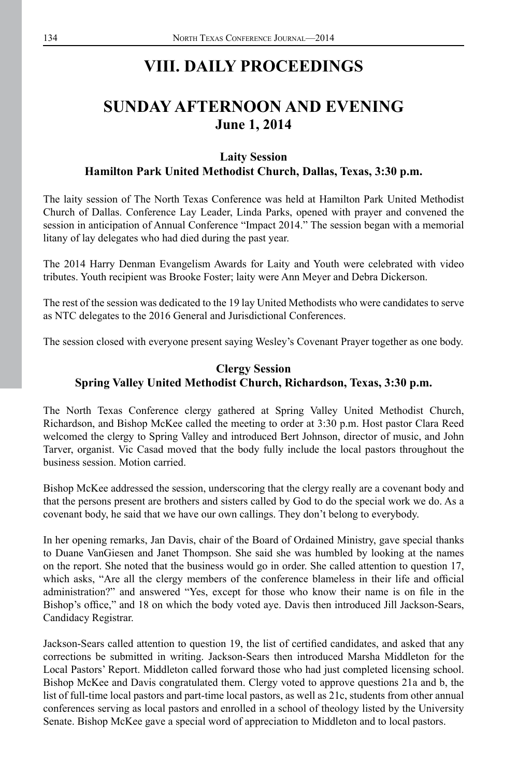# **VIII. DAILY PROCEEDINGS**

# **SUNDAY AFTERNOON AND EVENING June 1, 2014**

## **Laity Session Hamilton Park United Methodist Church, Dallas, Texas, 3:30 p.m.**

The laity session of The North Texas Conference was held at Hamilton Park United Methodist Church of Dallas. Conference Lay Leader, Linda Parks, opened with prayer and convened the session in anticipation of Annual Conference "Impact 2014." The session began with a memorial litany of lay delegates who had died during the past year.

The 2014 Harry Denman Evangelism Awards for Laity and Youth were celebrated with video tributes. Youth recipient was Brooke Foster; laity were Ann Meyer and Debra Dickerson.

The rest of the session was dedicated to the 19 lay United Methodists who were candidates to serve as NTC delegates to the 2016 General and Jurisdictional Conferences.

The session closed with everyone present saying Wesley's Covenant Prayer together as one body.

# **Clergy Session Spring Valley United Methodist Church, Richardson, Texas, 3:30 p.m.**

The North Texas Conference clergy gathered at Spring Valley United Methodist Church, Richardson, and Bishop McKee called the meeting to order at 3:30 p.m. Host pastor Clara Reed welcomed the clergy to Spring Valley and introduced Bert Johnson, director of music, and John Tarver, organist. Vic Casad moved that the body fully include the local pastors throughout the business session. Motion carried.

Bishop McKee addressed the session, underscoring that the clergy really are a covenant body and that the persons present are brothers and sisters called by God to do the special work we do. As a covenant body, he said that we have our own callings. They don't belong to everybody.

In her opening remarks, Jan Davis, chair of the Board of Ordained Ministry, gave special thanks to Duane VanGiesen and Janet Thompson. She said she was humbled by looking at the names on the report. She noted that the business would go in order. She called attention to question 17, which asks, "Are all the clergy members of the conference blameless in their life and official administration?" and answered "Yes, except for those who know their name is on file in the Bishop's office," and 18 on which the body voted aye. Davis then introduced Jill Jackson-Sears, Candidacy Registrar.

Jackson-Sears called attention to question 19, the list of certified candidates, and asked that any corrections be submitted in writing. Jackson-Sears then introduced Marsha Middleton for the Local Pastors' Report. Middleton called forward those who had just completed licensing school. Bishop McKee and Davis congratulated them. Clergy voted to approve questions 21a and b, the list of full-time local pastors and part-time local pastors, as well as 21c, students from other annual conferences serving as local pastors and enrolled in a school of theology listed by the University Senate. Bishop McKee gave a special word of appreciation to Middleton and to local pastors.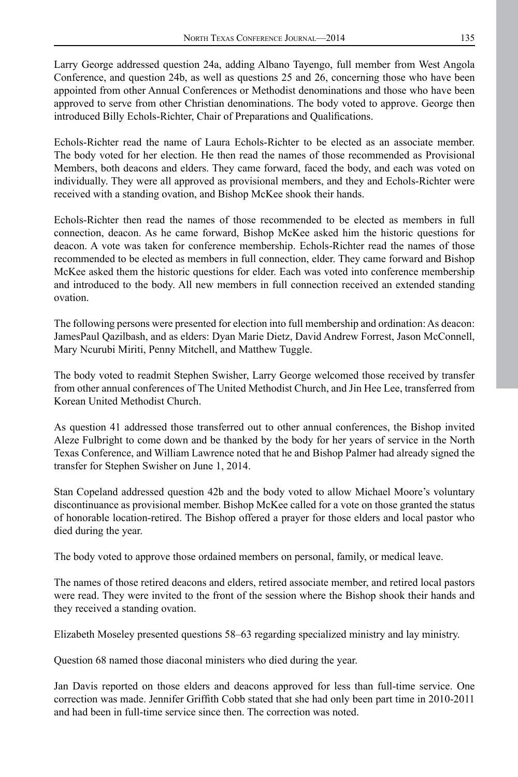Larry George addressed question 24a, adding Albano Tayengo, full member from West Angola Conference, and question 24b, as well as questions 25 and 26, concerning those who have been appointed from other Annual Conferences or Methodist denominations and those who have been approved to serve from other Christian denominations. The body voted to approve. George then introduced Billy Echols-Richter, Chair of Preparations and Qualifications.

Echols-Richter read the name of Laura Echols-Richter to be elected as an associate member. The body voted for her election. He then read the names of those recommended as Provisional Members, both deacons and elders. They came forward, faced the body, and each was voted on individually. They were all approved as provisional members, and they and Echols-Richter were received with a standing ovation, and Bishop McKee shook their hands.

Echols-Richter then read the names of those recommended to be elected as members in full connection, deacon. As he came forward, Bishop McKee asked him the historic questions for deacon. A vote was taken for conference membership. Echols-Richter read the names of those recommended to be elected as members in full connection, elder. They came forward and Bishop McKee asked them the historic questions for elder. Each was voted into conference membership and introduced to the body. All new members in full connection received an extended standing ovation.

The following persons were presented for election into full membership and ordination: As deacon: JamesPaul Qazilbash, and as elders: Dyan Marie Dietz, David Andrew Forrest, Jason McConnell, Mary Ncurubi Miriti, Penny Mitchell, and Matthew Tuggle.

The body voted to readmit Stephen Swisher, Larry George welcomed those received by transfer from other annual conferences of The United Methodist Church, and Jin Hee Lee, transferred from Korean United Methodist Church.

As question 41 addressed those transferred out to other annual conferences, the Bishop invited Aleze Fulbright to come down and be thanked by the body for her years of service in the North Texas Conference, and William Lawrence noted that he and Bishop Palmer had already signed the transfer for Stephen Swisher on June 1, 2014.

Stan Copeland addressed question 42b and the body voted to allow Michael Moore's voluntary discontinuance as provisional member. Bishop McKee called for a vote on those granted the status of honorable location-retired. The Bishop offered a prayer for those elders and local pastor who died during the year.

The body voted to approve those ordained members on personal, family, or medical leave.

The names of those retired deacons and elders, retired associate member, and retired local pastors were read. They were invited to the front of the session where the Bishop shook their hands and they received a standing ovation.

Elizabeth Moseley presented questions 58–63 regarding specialized ministry and lay ministry.

Question 68 named those diaconal ministers who died during the year.

Jan Davis reported on those elders and deacons approved for less than full-time service. One correction was made. Jennifer Griffith Cobb stated that she had only been part time in 2010-2011 and had been in full-time service since then. The correction was noted.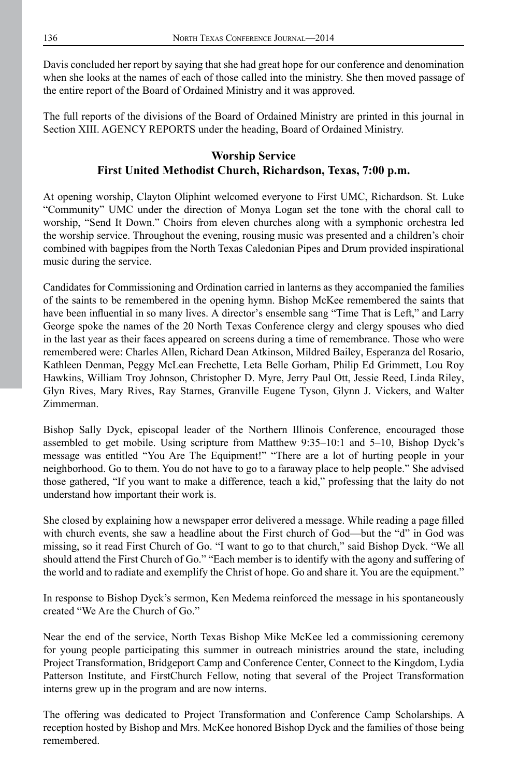Davis concluded her report by saying that she had great hope for our conference and denomination when she looks at the names of each of those called into the ministry. She then moved passage of the entire report of the Board of Ordained Ministry and it was approved.

The full reports of the divisions of the Board of Ordained Ministry are printed in this journal in Section XIII. AGENCY REPORTS under the heading, Board of Ordained Ministry.

## **Worship Service First United Methodist Church, Richardson, Texas, 7:00 p.m.**

At opening worship, Clayton Oliphint welcomed everyone to First UMC, Richardson. St. Luke "Community" UMC under the direction of Monya Logan set the tone with the choral call to worship, "Send It Down." Choirs from eleven churches along with a symphonic orchestra led the worship service. Throughout the evening, rousing music was presented and a children's choir combined with bagpipes from the North Texas Caledonian Pipes and Drum provided inspirational music during the service.

Candidates for Commissioning and Ordination carried in lanterns as they accompanied the families of the saints to be remembered in the opening hymn. Bishop McKee remembered the saints that have been influential in so many lives. A director's ensemble sang "Time That is Left," and Larry George spoke the names of the 20 North Texas Conference clergy and clergy spouses who died in the last year as their faces appeared on screens during a time of remembrance. Those who were remembered were: Charles Allen, Richard Dean Atkinson, Mildred Bailey, Esperanza del Rosario, Kathleen Denman, Peggy McLean Frechette, Leta Belle Gorham, Philip Ed Grimmett, Lou Roy Hawkins, William Troy Johnson, Christopher D. Myre, Jerry Paul Ott, Jessie Reed, Linda Riley, Glyn Rives, Mary Rives, Ray Starnes, Granville Eugene Tyson, Glynn J. Vickers, and Walter Zimmerman.

Bishop Sally Dyck, episcopal leader of the Northern Illinois Conference, encouraged those assembled to get mobile. Using scripture from Matthew 9:35–10:1 and 5–10, Bishop Dyck's message was entitled "You Are The Equipment!" "There are a lot of hurting people in your neighborhood. Go to them. You do not have to go to a faraway place to help people." She advised those gathered, "If you want to make a difference, teach a kid," professing that the laity do not understand how important their work is.

She closed by explaining how a newspaper error delivered a message. While reading a page filled with church events, she saw a headline about the First church of God—but the "d" in God was missing, so it read First Church of Go. "I want to go to that church," said Bishop Dyck. "We all should attend the First Church of Go." "Each member is to identify with the agony and suffering of the world and to radiate and exemplify the Christ of hope. Go and share it. You are the equipment."

In response to Bishop Dyck's sermon, Ken Medema reinforced the message in his spontaneously created "We Are the Church of Go."

Near the end of the service, North Texas Bishop Mike McKee led a commissioning ceremony for young people participating this summer in outreach ministries around the state, including Project Transformation, Bridgeport Camp and Conference Center, Connect to the Kingdom, Lydia Patterson Institute, and FirstChurch Fellow, noting that several of the Project Transformation interns grew up in the program and are now interns.

The offering was dedicated to Project Transformation and Conference Camp Scholarships. A reception hosted by Bishop and Mrs. McKee honored Bishop Dyck and the families of those being remembered.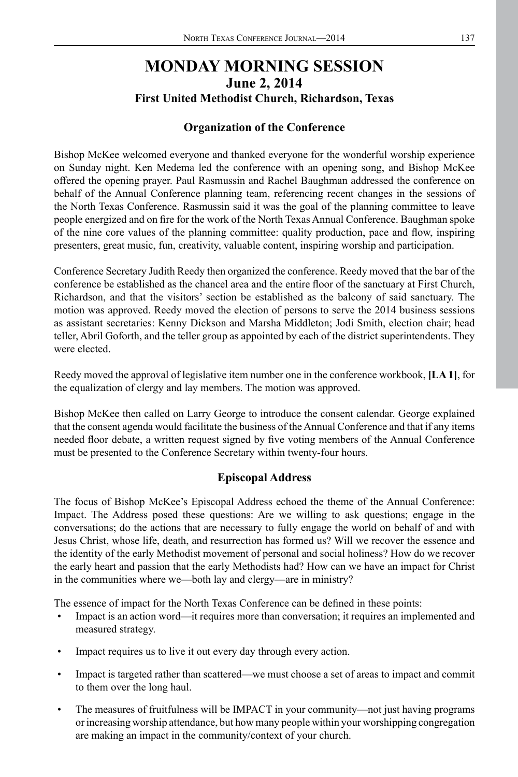# **MONDAY MORNING SESSION June 2, 2014 First United Methodist Church, Richardson, Texas**

## **Organization of the Conference**

Bishop McKee welcomed everyone and thanked everyone for the wonderful worship experience on Sunday night. Ken Medema led the conference with an opening song, and Bishop McKee offered the opening prayer. Paul Rasmussin and Rachel Baughman addressed the conference on behalf of the Annual Conference planning team, referencing recent changes in the sessions of the North Texas Conference. Rasmussin said it was the goal of the planning committee to leave people energized and on fire for the work of the North Texas Annual Conference. Baughman spoke of the nine core values of the planning committee: quality production, pace and flow, inspiring presenters, great music, fun, creativity, valuable content, inspiring worship and participation.

Conference Secretary Judith Reedy then organized the conference. Reedy moved that the bar of the conference be established as the chancel area and the entire floor of the sanctuary at First Church, Richardson, and that the visitors' section be established as the balcony of said sanctuary. The motion was approved. Reedy moved the election of persons to serve the 2014 business sessions as assistant secretaries: Kenny Dickson and Marsha Middleton; Jodi Smith, election chair; head teller, Abril Goforth, and the teller group as appointed by each of the district superintendents. They were elected.

Reedy moved the approval of legislative item number one in the conference workbook, **[LA 1]**, for the equalization of clergy and lay members. The motion was approved.

Bishop McKee then called on Larry George to introduce the consent calendar. George explained that the consent agenda would facilitate the business of the Annual Conference and that if any items needed floor debate, a written request signed by five voting members of the Annual Conference must be presented to the Conference Secretary within twenty-four hours.

## **Episcopal Address**

The focus of Bishop McKee's Episcopal Address echoed the theme of the Annual Conference: Impact. The Address posed these questions: Are we willing to ask questions; engage in the conversations; do the actions that are necessary to fully engage the world on behalf of and with Jesus Christ, whose life, death, and resurrection has formed us? Will we recover the essence and the identity of the early Methodist movement of personal and social holiness? How do we recover the early heart and passion that the early Methodists had? How can we have an impact for Christ in the communities where we—both lay and clergy—are in ministry?

The essence of impact for the North Texas Conference can be defined in these points:

- Impact is an action word—it requires more than conversation; it requires an implemented and measured strategy.
- Impact requires us to live it out every day through every action.
- Impact is targeted rather than scattered—we must choose a set of areas to impact and commit to them over the long haul.
- The measures of fruitfulness will be IMPACT in your community—not just having programs or increasing worship attendance, but how many people within your worshipping congregation are making an impact in the community/context of your church.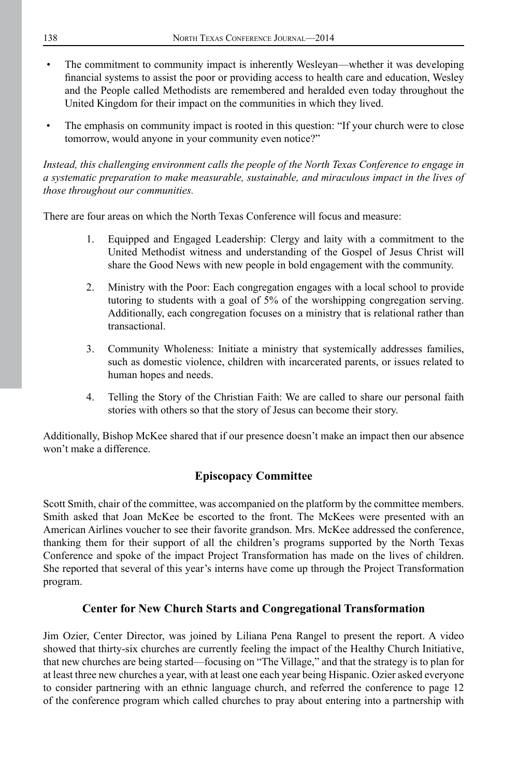- The commitment to community impact is inherently Wesleyan—whether it was developing financial systems to assist the poor or providing access to health care and education, Wesley and the People called Methodists are remembered and heralded even today throughout the United Kingdom for their impact on the communities in which they lived.
- The emphasis on community impact is rooted in this question: "If your church were to close tomorrow, would anyone in your community even notice?"

*Instead, this challenging environment calls the people of the North Texas Conference to engage in a systematic preparation to make measurable, sustainable, and miraculous impact in the lives of those throughout our communities.*

There are four areas on which the North Texas Conference will focus and measure:

- 1. Equipped and Engaged Leadership: Clergy and laity with a commitment to the United Methodist witness and understanding of the Gospel of Jesus Christ will share the Good News with new people in bold engagement with the community.
- 2. Ministry with the Poor: Each congregation engages with a local school to provide tutoring to students with a goal of 5% of the worshipping congregation serving. Additionally, each congregation focuses on a ministry that is relational rather than transactional.
- 3. Community Wholeness: Initiate a ministry that systemically addresses families, such as domestic violence, children with incarcerated parents, or issues related to human hopes and needs.
- 4. Telling the Story of the Christian Faith: We are called to share our personal faith stories with others so that the story of Jesus can become their story.

Additionally, Bishop McKee shared that if our presence doesn't make an impact then our absence won't make a difference.

## **Episcopacy Committee**

Scott Smith, chair of the committee, was accompanied on the platform by the committee members. Smith asked that Joan McKee be escorted to the front. The McKees were presented with an American Airlines voucher to see their favorite grandson. Mrs. McKee addressed the conference, thanking them for their support of all the children's programs supported by the North Texas Conference and spoke of the impact Project Transformation has made on the lives of children. She reported that several of this year's interns have come up through the Project Transformation program.

## **Center for New Church Starts and Congregational Transformation**

Jim Ozier, Center Director, was joined by Liliana Pena Rangel to present the report. A video showed that thirty-six churches are currently feeling the impact of the Healthy Church Initiative, that new churches are being started—focusing on "The Village," and that the strategy is to plan for at least three new churches a year, with at least one each year being Hispanic. Ozier asked everyone to consider partnering with an ethnic language church, and referred the conference to page 12 of the conference program which called churches to pray about entering into a partnership with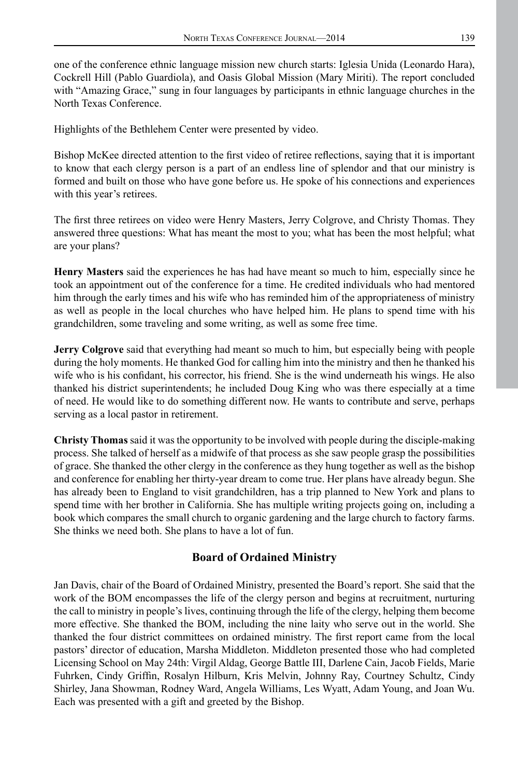one of the conference ethnic language mission new church starts: Iglesia Unida (Leonardo Hara), Cockrell Hill (Pablo Guardiola), and Oasis Global Mission (Mary Miriti). The report concluded with "Amazing Grace," sung in four languages by participants in ethnic language churches in the North Texas Conference.

Highlights of the Bethlehem Center were presented by video.

Bishop McKee directed attention to the first video of retiree reflections, saying that it is important to know that each clergy person is a part of an endless line of splendor and that our ministry is formed and built on those who have gone before us. He spoke of his connections and experiences with this year's retirees.

The first three retirees on video were Henry Masters, Jerry Colgrove, and Christy Thomas. They answered three questions: What has meant the most to you; what has been the most helpful; what are your plans?

**Henry Masters** said the experiences he has had have meant so much to him, especially since he took an appointment out of the conference for a time. He credited individuals who had mentored him through the early times and his wife who has reminded him of the appropriateness of ministry as well as people in the local churches who have helped him. He plans to spend time with his grandchildren, some traveling and some writing, as well as some free time.

**Jerry Colgrove** said that everything had meant so much to him, but especially being with people during the holy moments. He thanked God for calling him into the ministry and then he thanked his wife who is his confidant, his corrector, his friend. She is the wind underneath his wings. He also thanked his district superintendents; he included Doug King who was there especially at a time of need. He would like to do something different now. He wants to contribute and serve, perhaps serving as a local pastor in retirement.

**Christy Thomas** said it was the opportunity to be involved with people during the disciple-making process. She talked of herself as a midwife of that process as she saw people grasp the possibilities of grace. She thanked the other clergy in the conference as they hung together as well as the bishop and conference for enabling her thirty-year dream to come true. Her plans have already begun. She has already been to England to visit grandchildren, has a trip planned to New York and plans to spend time with her brother in California. She has multiple writing projects going on, including a book which compares the small church to organic gardening and the large church to factory farms. She thinks we need both. She plans to have a lot of fun.

## **Board of Ordained Ministry**

Jan Davis, chair of the Board of Ordained Ministry, presented the Board's report. She said that the work of the BOM encompasses the life of the clergy person and begins at recruitment, nurturing the call to ministry in people's lives, continuing through the life of the clergy, helping them become more effective. She thanked the BOM, including the nine laity who serve out in the world. She thanked the four district committees on ordained ministry. The first report came from the local pastors' director of education, Marsha Middleton. Middleton presented those who had completed Licensing School on May 24th: Virgil Aldag, George Battle III, Darlene Cain, Jacob Fields, Marie Fuhrken, Cindy Griffin, Rosalyn Hilburn, Kris Melvin, Johnny Ray, Courtney Schultz, Cindy Shirley, Jana Showman, Rodney Ward, Angela Williams, Les Wyatt, Adam Young, and Joan Wu. Each was presented with a gift and greeted by the Bishop.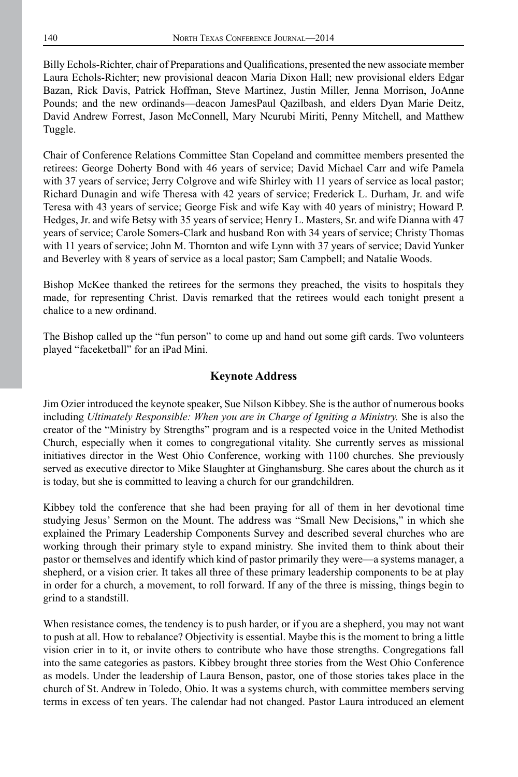Billy Echols-Richter, chair of Preparations and Qualifications, presented the new associate member Laura Echols-Richter; new provisional deacon Maria Dixon Hall; new provisional elders Edgar Bazan, Rick Davis, Patrick Hoffman, Steve Martinez, Justin Miller, Jenna Morrison, JoAnne Pounds; and the new ordinands—deacon JamesPaul Qazilbash, and elders Dyan Marie Deitz, David Andrew Forrest, Jason McConnell, Mary Ncurubi Miriti, Penny Mitchell, and Matthew Tuggle.

Chair of Conference Relations Committee Stan Copeland and committee members presented the retirees: George Doherty Bond with 46 years of service; David Michael Carr and wife Pamela with 37 years of service; Jerry Colgrove and wife Shirley with 11 years of service as local pastor; Richard Dunagin and wife Theresa with 42 years of service; Frederick L. Durham, Jr. and wife Teresa with 43 years of service; George Fisk and wife Kay with 40 years of ministry; Howard P. Hedges, Jr. and wife Betsy with 35 years of service; Henry L. Masters, Sr. and wife Dianna with 47 years of service; Carole Somers-Clark and husband Ron with 34 years of service; Christy Thomas with 11 years of service; John M. Thornton and wife Lynn with 37 years of service; David Yunker and Beverley with 8 years of service as a local pastor; Sam Campbell; and Natalie Woods.

Bishop McKee thanked the retirees for the sermons they preached, the visits to hospitals they made, for representing Christ. Davis remarked that the retirees would each tonight present a chalice to a new ordinand.

The Bishop called up the "fun person" to come up and hand out some gift cards. Two volunteers played "faceketball" for an iPad Mini.

### **Keynote Address**

Jim Ozier introduced the keynote speaker, Sue Nilson Kibbey. She is the author of numerous books including *Ultimately Responsible: When you are in Charge of Igniting a Ministry*. She is also the creator of the "Ministry by Strengths" program and is a respected voice in the United Methodist Church, especially when it comes to congregational vitality. She currently serves as missional initiatives director in the West Ohio Conference, working with 1100 churches. She previously served as executive director to Mike Slaughter at Ginghamsburg. She cares about the church as it is today, but she is committed to leaving a church for our grandchildren.

Kibbey told the conference that she had been praying for all of them in her devotional time studying Jesus' Sermon on the Mount. The address was "Small New Decisions," in which she explained the Primary Leadership Components Survey and described several churches who are working through their primary style to expand ministry. She invited them to think about their pastor or themselves and identify which kind of pastor primarily they were—a systems manager, a shepherd, or a vision crier. It takes all three of these primary leadership components to be at play in order for a church, a movement, to roll forward. If any of the three is missing, things begin to grind to a standstill.

When resistance comes, the tendency is to push harder, or if you are a shepherd, you may not want to push at all. How to rebalance? Objectivity is essential. Maybe this is the moment to bring a little vision crier in to it, or invite others to contribute who have those strengths. Congregations fall into the same categories as pastors. Kibbey brought three stories from the West Ohio Conference as models. Under the leadership of Laura Benson, pastor, one of those stories takes place in the church of St. Andrew in Toledo, Ohio. It was a systems church, with committee members serving terms in excess of ten years. The calendar had not changed. Pastor Laura introduced an element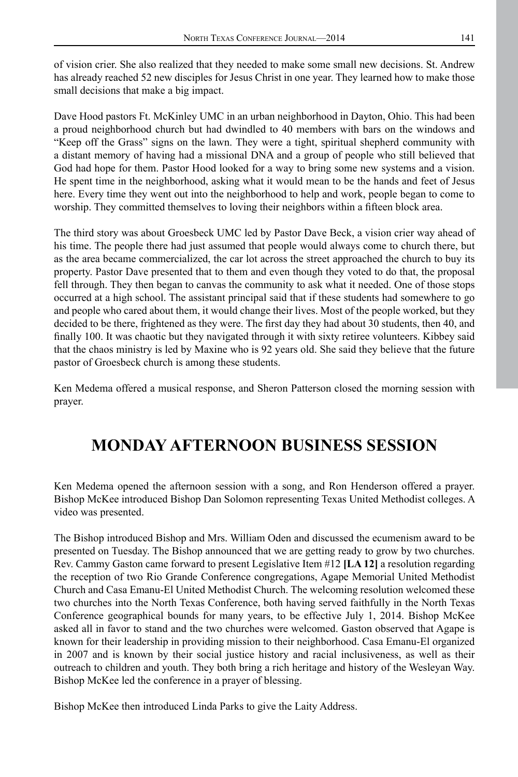of vision crier. She also realized that they needed to make some small new decisions. St. Andrew has already reached 52 new disciples for Jesus Christ in one year. They learned how to make those small decisions that make a big impact.

Dave Hood pastors Ft. McKinley UMC in an urban neighborhood in Dayton, Ohio. This had been a proud neighborhood church but had dwindled to 40 members with bars on the windows and "Keep off the Grass" signs on the lawn. They were a tight, spiritual shepherd community with a distant memory of having had a missional DNA and a group of people who still believed that God had hope for them. Pastor Hood looked for a way to bring some new systems and a vision. He spent time in the neighborhood, asking what it would mean to be the hands and feet of Jesus here. Every time they went out into the neighborhood to help and work, people began to come to worship. They committed themselves to loving their neighbors within a fifteen block area.

The third story was about Groesbeck UMC led by Pastor Dave Beck, a vision crier way ahead of his time. The people there had just assumed that people would always come to church there, but as the area became commercialized, the car lot across the street approached the church to buy its property. Pastor Dave presented that to them and even though they voted to do that, the proposal fell through. They then began to canvas the community to ask what it needed. One of those stops occurred at a high school. The assistant principal said that if these students had somewhere to go and people who cared about them, it would change their lives. Most of the people worked, but they decided to be there, frightened as they were. The first day they had about 30 students, then 40, and finally 100. It was chaotic but they navigated through it with sixty retiree volunteers. Kibbey said that the chaos ministry is led by Maxine who is 92 years old. She said they believe that the future pastor of Groesbeck church is among these students.

Ken Medema offered a musical response, and Sheron Patterson closed the morning session with prayer.

# **MONDAY AFTERNOON BUSINESS SESSION**

Ken Medema opened the afternoon session with a song, and Ron Henderson offered a prayer. Bishop McKee introduced Bishop Dan Solomon representing Texas United Methodist colleges. A video was presented.

The Bishop introduced Bishop and Mrs. William Oden and discussed the ecumenism award to be presented on Tuesday. The Bishop announced that we are getting ready to grow by two churches. Rev. Cammy Gaston came forward to present Legislative Item #12 **[LA 12]** a resolution regarding the reception of two Rio Grande Conference congregations, Agape Memorial United Methodist Church and Casa Emanu-El United Methodist Church. The welcoming resolution welcomed these two churches into the North Texas Conference, both having served faithfully in the North Texas Conference geographical bounds for many years, to be effective July 1, 2014. Bishop McKee asked all in favor to stand and the two churches were welcomed. Gaston observed that Agape is known for their leadership in providing mission to their neighborhood. Casa Emanu-El organized in 2007 and is known by their social justice history and racial inclusiveness, as well as their outreach to children and youth. They both bring a rich heritage and history of the Wesleyan Way. Bishop McKee led the conference in a prayer of blessing.

Bishop McKee then introduced Linda Parks to give the Laity Address.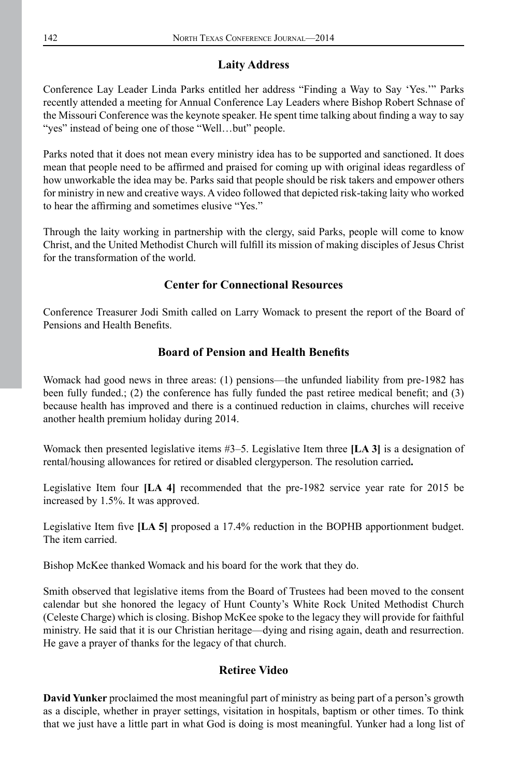# **Laity Address**

Conference Lay Leader Linda Parks entitled her address "Finding a Way to Say 'Yes.'" Parks recently attended a meeting for Annual Conference Lay Leaders where Bishop Robert Schnase of the Missouri Conference was the keynote speaker. He spent time talking about finding a way to say "yes" instead of being one of those "Well...but" people.

Parks noted that it does not mean every ministry idea has to be supported and sanctioned. It does mean that people need to be affirmed and praised for coming up with original ideas regardless of how unworkable the idea may be. Parks said that people should be risk takers and empower others for ministry in new and creative ways. A video followed that depicted risk-taking laity who worked to hear the affirming and sometimes elusive "Yes."

Through the laity working in partnership with the clergy, said Parks, people will come to know Christ, and the United Methodist Church will fulfill its mission of making disciples of Jesus Christ for the transformation of the world.

# **Center for Connectional Resources**

Conference Treasurer Jodi Smith called on Larry Womack to present the report of the Board of Pensions and Health Benefits.

# **Board of Pension and Health Benefits**

Womack had good news in three areas: (1) pensions—the unfunded liability from pre-1982 has been fully funded.; (2) the conference has fully funded the past retiree medical benefit; and (3) because health has improved and there is a continued reduction in claims, churches will receive another health premium holiday during 2014.

Womack then presented legislative items #3–5. Legislative Item three **[LA 3]** is a designation of rental/housing allowances for retired or disabled clergyperson. The resolution carried**.**

Legislative Item four **[LA 4]** recommended that the pre-1982 service year rate for 2015 be increased by 1.5%. It was approved.

Legislative Item five **[LA 5]** proposed a 17.4% reduction in the BOPHB apportionment budget. The item carried.

Bishop McKee thanked Womack and his board for the work that they do.

Smith observed that legislative items from the Board of Trustees had been moved to the consent calendar but she honored the legacy of Hunt County's White Rock United Methodist Church (Celeste Charge) which is closing. Bishop McKee spoke to the legacy they will provide for faithful ministry. He said that it is our Christian heritage—dying and rising again, death and resurrection. He gave a prayer of thanks for the legacy of that church.

## **Retiree Video**

**David Yunker** proclaimed the most meaningful part of ministry as being part of a person's growth as a disciple, whether in prayer settings, visitation in hospitals, baptism or other times. To think that we just have a little part in what God is doing is most meaningful. Yunker had a long list of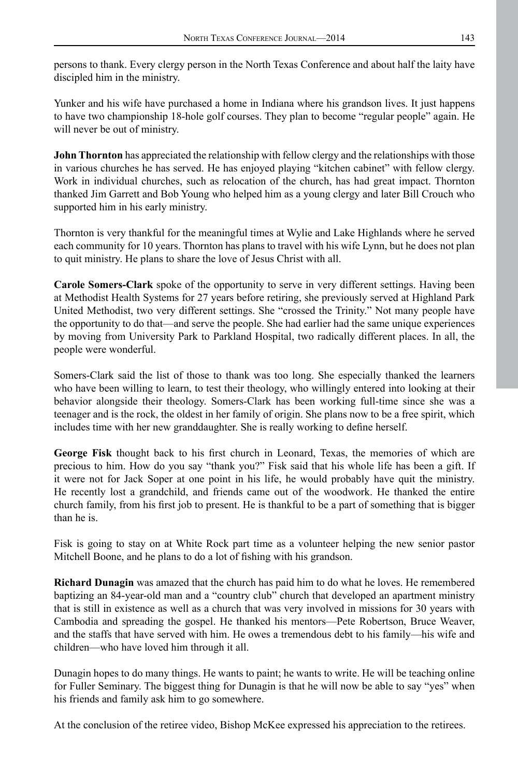persons to thank. Every clergy person in the North Texas Conference and about half the laity have discipled him in the ministry.

Yunker and his wife have purchased a home in Indiana where his grandson lives. It just happens to have two championship 18-hole golf courses. They plan to become "regular people" again. He will never be out of ministry.

**John Thornton** has appreciated the relationship with fellow clergy and the relationships with those in various churches he has served. He has enjoyed playing "kitchen cabinet" with fellow clergy. Work in individual churches, such as relocation of the church, has had great impact. Thornton thanked Jim Garrett and Bob Young who helped him as a young clergy and later Bill Crouch who supported him in his early ministry.

Thornton is very thankful for the meaningful times at Wylie and Lake Highlands where he served each community for 10 years. Thornton has plans to travel with his wife Lynn, but he does not plan to quit ministry. He plans to share the love of Jesus Christ with all.

**Carole Somers-Clark** spoke of the opportunity to serve in very different settings. Having been at Methodist Health Systems for 27 years before retiring, she previously served at Highland Park United Methodist, two very different settings. She "crossed the Trinity." Not many people have the opportunity to do that—and serve the people. She had earlier had the same unique experiences by moving from University Park to Parkland Hospital, two radically different places. In all, the people were wonderful.

Somers-Clark said the list of those to thank was too long. She especially thanked the learners who have been willing to learn, to test their theology, who willingly entered into looking at their behavior alongside their theology. Somers-Clark has been working full-time since she was a teenager and is the rock, the oldest in her family of origin. She plans now to be a free spirit, which includes time with her new granddaughter. She is really working to define herself.

**George Fisk** thought back to his first church in Leonard, Texas, the memories of which are precious to him. How do you say "thank you?" Fisk said that his whole life has been a gift. If it were not for Jack Soper at one point in his life, he would probably have quit the ministry. He recently lost a grandchild, and friends came out of the woodwork. He thanked the entire church family, from his first job to present. He is thankful to be a part of something that is bigger than he is.

Fisk is going to stay on at White Rock part time as a volunteer helping the new senior pastor Mitchell Boone, and he plans to do a lot of fishing with his grandson.

**Richard Dunagin** was amazed that the church has paid him to do what he loves. He remembered baptizing an 84-year-old man and a "country club" church that developed an apartment ministry that is still in existence as well as a church that was very involved in missions for 30 years with Cambodia and spreading the gospel. He thanked his mentors—Pete Robertson, Bruce Weaver, and the staffs that have served with him. He owes a tremendous debt to his family—his wife and children—who have loved him through it all.

Dunagin hopes to do many things. He wants to paint; he wants to write. He will be teaching online for Fuller Seminary. The biggest thing for Dunagin is that he will now be able to say "yes" when his friends and family ask him to go somewhere.

At the conclusion of the retiree video, Bishop McKee expressed his appreciation to the retirees.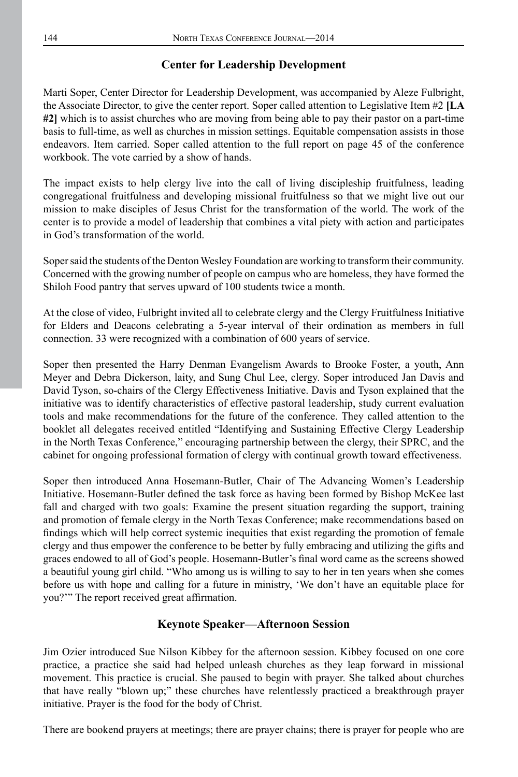## **Center for Leadership Development**

Marti Soper, Center Director for Leadership Development, was accompanied by Aleze Fulbright, the Associate Director, to give the center report. Soper called attention to Legislative Item #2 **[LA #2]** which is to assist churches who are moving from being able to pay their pastor on a part-time basis to full-time, as well as churches in mission settings. Equitable compensation assists in those endeavors. Item carried. Soper called attention to the full report on page 45 of the conference workbook. The vote carried by a show of hands.

The impact exists to help clergy live into the call of living discipleship fruitfulness, leading congregational fruitfulness and developing missional fruitfulness so that we might live out our mission to make disciples of Jesus Christ for the transformation of the world. The work of the center is to provide a model of leadership that combines a vital piety with action and participates in God's transformation of the world.

Soper said the students of the Denton Wesley Foundation are working to transform their community. Concerned with the growing number of people on campus who are homeless, they have formed the Shiloh Food pantry that serves upward of 100 students twice a month.

At the close of video, Fulbright invited all to celebrate clergy and the Clergy Fruitfulness Initiative for Elders and Deacons celebrating a 5-year interval of their ordination as members in full connection. 33 were recognized with a combination of 600 years of service.

Soper then presented the Harry Denman Evangelism Awards to Brooke Foster, a youth, Ann Meyer and Debra Dickerson, laity, and Sung Chul Lee, clergy. Soper introduced Jan Davis and David Tyson, so-chairs of the Clergy Effectiveness Initiative. Davis and Tyson explained that the initiative was to identify characteristics of effective pastoral leadership, study current evaluation tools and make recommendations for the future of the conference. They called attention to the booklet all delegates received entitled "Identifying and Sustaining Effective Clergy Leadership in the North Texas Conference," encouraging partnership between the clergy, their SPRC, and the cabinet for ongoing professional formation of clergy with continual growth toward effectiveness.

Soper then introduced Anna Hosemann-Butler, Chair of The Advancing Women's Leadership Initiative. Hosemann-Butler defined the task force as having been formed by Bishop McKee last fall and charged with two goals: Examine the present situation regarding the support, training and promotion of female clergy in the North Texas Conference; make recommendations based on findings which will help correct systemic inequities that exist regarding the promotion of female clergy and thus empower the conference to be better by fully embracing and utilizing the gifts and graces endowed to all of God's people. Hosemann-Butler's final word came as the screens showed a beautiful young girl child. "Who among us is willing to say to her in ten years when she comes before us with hope and calling for a future in ministry, 'We don't have an equitable place for you?'" The report received great affirmation.

## **Keynote Speaker—Afternoon Session**

Jim Ozier introduced Sue Nilson Kibbey for the afternoon session. Kibbey focused on one core practice, a practice she said had helped unleash churches as they leap forward in missional movement. This practice is crucial. She paused to begin with prayer. She talked about churches that have really "blown up;" these churches have relentlessly practiced a breakthrough prayer initiative. Prayer is the food for the body of Christ.

There are bookend prayers at meetings; there are prayer chains; there is prayer for people who are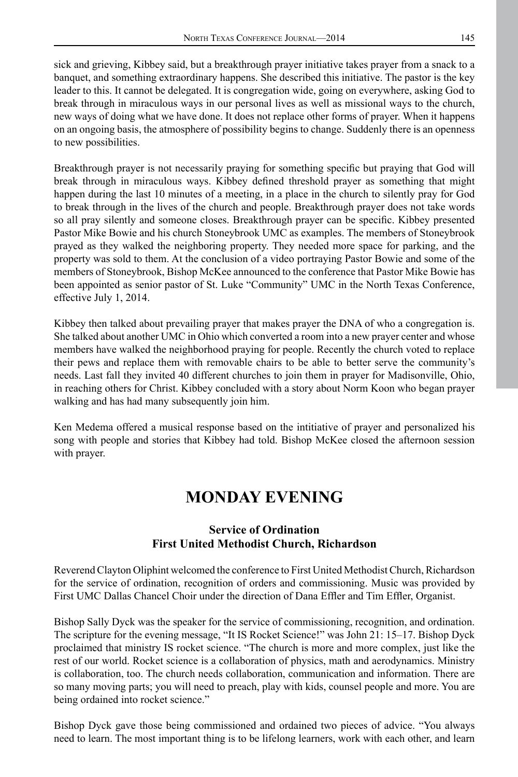sick and grieving, Kibbey said, but a breakthrough prayer initiative takes prayer from a snack to a banquet, and something extraordinary happens. She described this initiative. The pastor is the key leader to this. It cannot be delegated. It is congregation wide, going on everywhere, asking God to break through in miraculous ways in our personal lives as well as missional ways to the church, new ways of doing what we have done. It does not replace other forms of prayer. When it happens on an ongoing basis, the atmosphere of possibility begins to change. Suddenly there is an openness to new possibilities.

Breakthrough prayer is not necessarily praying for something specific but praying that God will break through in miraculous ways. Kibbey defined threshold prayer as something that might happen during the last 10 minutes of a meeting, in a place in the church to silently pray for God to break through in the lives of the church and people. Breakthrough prayer does not take words so all pray silently and someone closes. Breakthrough prayer can be specific. Kibbey presented Pastor Mike Bowie and his church Stoneybrook UMC as examples. The members of Stoneybrook prayed as they walked the neighboring property. They needed more space for parking, and the property was sold to them. At the conclusion of a video portraying Pastor Bowie and some of the members of Stoneybrook, Bishop McKee announced to the conference that Pastor Mike Bowie has been appointed as senior pastor of St. Luke "Community" UMC in the North Texas Conference, effective July 1, 2014.

Kibbey then talked about prevailing prayer that makes prayer the DNA of who a congregation is. She talked about another UMC in Ohio which converted a room into a new prayer center and whose members have walked the neighborhood praying for people. Recently the church voted to replace their pews and replace them with removable chairs to be able to better serve the community's needs. Last fall they invited 40 different churches to join them in prayer for Madisonville, Ohio, in reaching others for Christ. Kibbey concluded with a story about Norm Koon who began prayer walking and has had many subsequently join him.

Ken Medema offered a musical response based on the intitiative of prayer and personalized his song with people and stories that Kibbey had told. Bishop McKee closed the afternoon session with prayer.

# **MONDAY EVENING**

## **Service of Ordination First United Methodist Church, Richardson**

Reverend Clayton Oliphint welcomed the conference to First United Methodist Church, Richardson for the service of ordination, recognition of orders and commissioning. Music was provided by First UMC Dallas Chancel Choir under the direction of Dana Effler and Tim Effler, Organist.

Bishop Sally Dyck was the speaker for the service of commissioning, recognition, and ordination. The scripture for the evening message, "It IS Rocket Science!" was John 21: 15–17. Bishop Dyck proclaimed that ministry IS rocket science. "The church is more and more complex, just like the rest of our world. Rocket science is a collaboration of physics, math and aerodynamics. Ministry is collaboration, too. The church needs collaboration, communication and information. There are so many moving parts; you will need to preach, play with kids, counsel people and more. You are being ordained into rocket science."

Bishop Dyck gave those being commissioned and ordained two pieces of advice. "You always need to learn. The most important thing is to be lifelong learners, work with each other, and learn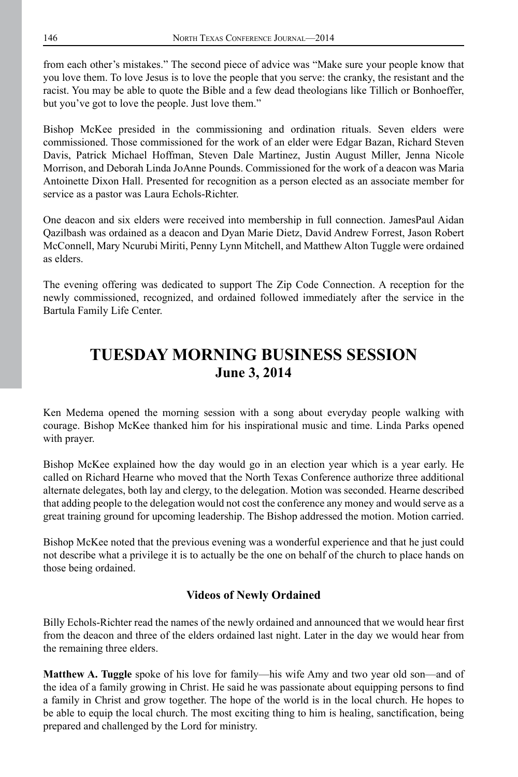from each other's mistakes." The second piece of advice was "Make sure your people know that you love them. To love Jesus is to love the people that you serve: the cranky, the resistant and the racist. You may be able to quote the Bible and a few dead theologians like Tillich or Bonhoeffer, but you've got to love the people. Just love them."

Bishop McKee presided in the commissioning and ordination rituals. Seven elders were commissioned. Those commissioned for the work of an elder were Edgar Bazan, Richard Steven Davis, Patrick Michael Hoffman, Steven Dale Martinez, Justin August Miller, Jenna Nicole Morrison, and Deborah Linda JoAnne Pounds. Commissioned for the work of a deacon was Maria Antoinette Dixon Hall. Presented for recognition as a person elected as an associate member for service as a pastor was Laura Echols-Richter.

One deacon and six elders were received into membership in full connection. JamesPaul Aidan Qazilbash was ordained as a deacon and Dyan Marie Dietz, David Andrew Forrest, Jason Robert McConnell, Mary Ncurubi Miriti, Penny Lynn Mitchell, and Matthew Alton Tuggle were ordained as elders.

The evening offering was dedicated to support The Zip Code Connection. A reception for the newly commissioned, recognized, and ordained followed immediately after the service in the Bartula Family Life Center.

# **TUESDAY MORNING BUSINESS SESSION June 3, 2014**

Ken Medema opened the morning session with a song about everyday people walking with courage. Bishop McKee thanked him for his inspirational music and time. Linda Parks opened with prayer.

Bishop McKee explained how the day would go in an election year which is a year early. He called on Richard Hearne who moved that the North Texas Conference authorize three additional alternate delegates, both lay and clergy, to the delegation. Motion was seconded. Hearne described that adding people to the delegation would not cost the conference any money and would serve as a great training ground for upcoming leadership. The Bishop addressed the motion. Motion carried.

Bishop McKee noted that the previous evening was a wonderful experience and that he just could not describe what a privilege it is to actually be the one on behalf of the church to place hands on those being ordained.

## **Videos of Newly Ordained**

Billy Echols-Richter read the names of the newly ordained and announced that we would hear first from the deacon and three of the elders ordained last night. Later in the day we would hear from the remaining three elders.

**Matthew A. Tuggle** spoke of his love for family—his wife Amy and two year old son—and of the idea of a family growing in Christ. He said he was passionate about equipping persons to find a family in Christ and grow together. The hope of the world is in the local church. He hopes to be able to equip the local church. The most exciting thing to him is healing, sanctification, being prepared and challenged by the Lord for ministry.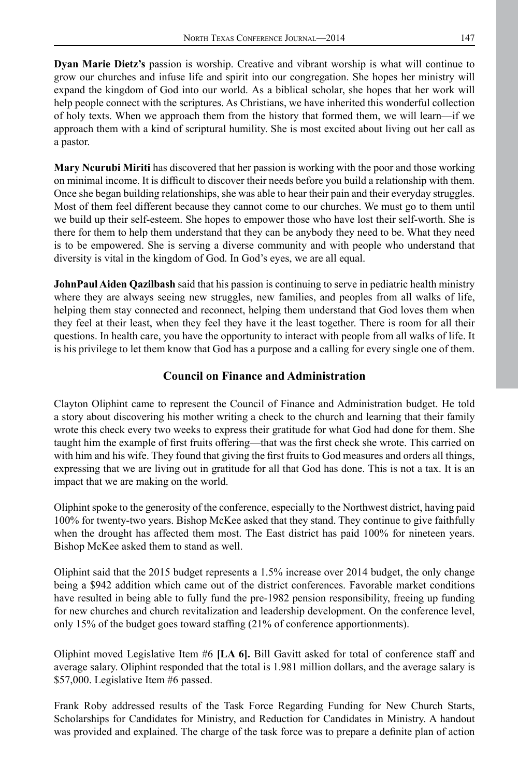**Dyan Marie Dietz's** passion is worship. Creative and vibrant worship is what will continue to grow our churches and infuse life and spirit into our congregation. She hopes her ministry will expand the kingdom of God into our world. As a biblical scholar, she hopes that her work will help people connect with the scriptures. As Christians, we have inherited this wonderful collection of holy texts. When we approach them from the history that formed them, we will learn—if we approach them with a kind of scriptural humility. She is most excited about living out her call as a pastor.

**Mary Ncurubi Miriti** has discovered that her passion is working with the poor and those working on minimal income. It is difficult to discover their needs before you build a relationship with them. Once she began building relationships, she was able to hear their pain and their everyday struggles. Most of them feel different because they cannot come to our churches. We must go to them until we build up their self-esteem. She hopes to empower those who have lost their self-worth. She is there for them to help them understand that they can be anybody they need to be. What they need is to be empowered. She is serving a diverse community and with people who understand that diversity is vital in the kingdom of God. In God's eyes, we are all equal.

**JohnPaul Aiden Qazilbash** said that his passion is continuing to serve in pediatric health ministry where they are always seeing new struggles, new families, and peoples from all walks of life, helping them stay connected and reconnect, helping them understand that God loves them when they feel at their least, when they feel they have it the least together. There is room for all their questions. In health care, you have the opportunity to interact with people from all walks of life. It is his privilege to let them know that God has a purpose and a calling for every single one of them.

## **Council on Finance and Administration**

Clayton Oliphint came to represent the Council of Finance and Administration budget. He told a story about discovering his mother writing a check to the church and learning that their family wrote this check every two weeks to express their gratitude for what God had done for them. She taught him the example of first fruits offering—that was the first check she wrote. This carried on with him and his wife. They found that giving the first fruits to God measures and orders all things, expressing that we are living out in gratitude for all that God has done. This is not a tax. It is an impact that we are making on the world.

Oliphint spoke to the generosity of the conference, especially to the Northwest district, having paid 100% for twenty-two years. Bishop McKee asked that they stand. They continue to give faithfully when the drought has affected them most. The East district has paid 100% for nineteen years. Bishop McKee asked them to stand as well.

Oliphint said that the 2015 budget represents a 1.5% increase over 2014 budget, the only change being a \$942 addition which came out of the district conferences. Favorable market conditions have resulted in being able to fully fund the pre-1982 pension responsibility, freeing up funding for new churches and church revitalization and leadership development. On the conference level, only 15% of the budget goes toward staffing (21% of conference apportionments).

Oliphint moved Legislative Item #6 **[LA 6].** Bill Gavitt asked for total of conference staff and average salary. Oliphint responded that the total is 1.981 million dollars, and the average salary is \$57,000. Legislative Item #6 passed.

Frank Roby addressed results of the Task Force Regarding Funding for New Church Starts, Scholarships for Candidates for Ministry, and Reduction for Candidates in Ministry. A handout was provided and explained. The charge of the task force was to prepare a definite plan of action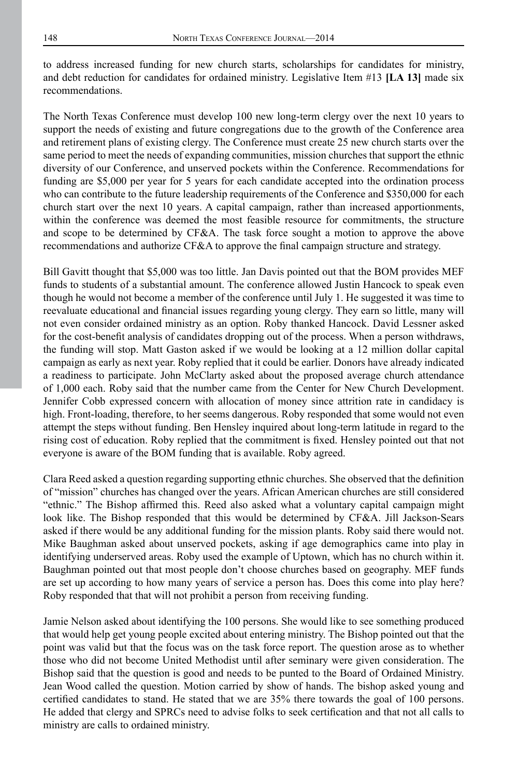to address increased funding for new church starts, scholarships for candidates for ministry, and debt reduction for candidates for ordained ministry. Legislative Item #13 **[LA 13]** made six recommendations.

The North Texas Conference must develop 100 new long-term clergy over the next 10 years to support the needs of existing and future congregations due to the growth of the Conference area and retirement plans of existing clergy. The Conference must create 25 new church starts over the same period to meet the needs of expanding communities, mission churches that support the ethnic diversity of our Conference, and unserved pockets within the Conference. Recommendations for funding are \$5,000 per year for 5 years for each candidate accepted into the ordination process who can contribute to the future leadership requirements of the Conference and \$350,000 for each church start over the next 10 years. A capital campaign, rather than increased apportionments, within the conference was deemed the most feasible resource for commitments, the structure and scope to be determined by CF&A. The task force sought a motion to approve the above recommendations and authorize CF&A to approve the final campaign structure and strategy.

Bill Gavitt thought that \$5,000 was too little. Jan Davis pointed out that the BOM provides MEF funds to students of a substantial amount. The conference allowed Justin Hancock to speak even though he would not become a member of the conference until July 1. He suggested it was time to reevaluate educational and financial issues regarding young clergy. They earn so little, many will not even consider ordained ministry as an option. Roby thanked Hancock. David Lessner asked for the cost-benefit analysis of candidates dropping out of the process. When a person withdraws, the funding will stop. Matt Gaston asked if we would be looking at a 12 million dollar capital campaign as early as next year. Roby replied that it could be earlier. Donors have already indicated a readiness to participate. John McClarty asked about the proposed average church attendance of 1,000 each. Roby said that the number came from the Center for New Church Development. Jennifer Cobb expressed concern with allocation of money since attrition rate in candidacy is high. Front-loading, therefore, to her seems dangerous. Roby responded that some would not even attempt the steps without funding. Ben Hensley inquired about long-term latitude in regard to the rising cost of education. Roby replied that the commitment is fixed. Hensley pointed out that not everyone is aware of the BOM funding that is available. Roby agreed.

Clara Reed asked a question regarding supporting ethnic churches. She observed that the definition of "mission" churches has changed over the years. African American churches are still considered "ethnic." The Bishop affirmed this. Reed also asked what a voluntary capital campaign might look like. The Bishop responded that this would be determined by CF&A. Jill Jackson-Sears asked if there would be any additional funding for the mission plants. Roby said there would not. Mike Baughman asked about unserved pockets, asking if age demographics came into play in identifying underserved areas. Roby used the example of Uptown, which has no church within it. Baughman pointed out that most people don't choose churches based on geography. MEF funds are set up according to how many years of service a person has. Does this come into play here? Roby responded that that will not prohibit a person from receiving funding.

Jamie Nelson asked about identifying the 100 persons. She would like to see something produced that would help get young people excited about entering ministry. The Bishop pointed out that the point was valid but that the focus was on the task force report. The question arose as to whether those who did not become United Methodist until after seminary were given consideration. The Bishop said that the question is good and needs to be punted to the Board of Ordained Ministry. Jean Wood called the question. Motion carried by show of hands. The bishop asked young and certified candidates to stand. He stated that we are 35% there towards the goal of 100 persons. He added that clergy and SPRCs need to advise folks to seek certification and that not all calls to ministry are calls to ordained ministry.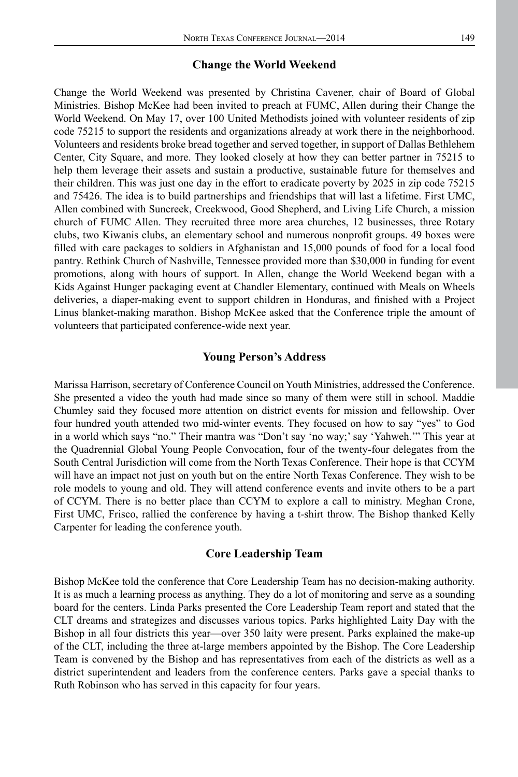#### **Change the World Weekend**

Change the World Weekend was presented by Christina Cavener, chair of Board of Global Ministries. Bishop McKee had been invited to preach at FUMC, Allen during their Change the World Weekend. On May 17, over 100 United Methodists joined with volunteer residents of zip code 75215 to support the residents and organizations already at work there in the neighborhood. Volunteers and residents broke bread together and served together, in support of Dallas Bethlehem Center, City Square, and more. They looked closely at how they can better partner in 75215 to help them leverage their assets and sustain a productive, sustainable future for themselves and their children. This was just one day in the effort to eradicate poverty by 2025 in zip code 75215 and 75426. The idea is to build partnerships and friendships that will last a lifetime. First UMC, Allen combined with Suncreek, Creekwood, Good Shepherd, and Living Life Church, a mission church of FUMC Allen. They recruited three more area churches, 12 businesses, three Rotary clubs, two Kiwanis clubs, an elementary school and numerous nonprofit groups. 49 boxes were filled with care packages to soldiers in Afghanistan and 15,000 pounds of food for a local food pantry. Rethink Church of Nashville, Tennessee provided more than \$30,000 in funding for event promotions, along with hours of support. In Allen, change the World Weekend began with a Kids Against Hunger packaging event at Chandler Elementary, continued with Meals on Wheels deliveries, a diaper-making event to support children in Honduras, and finished with a Project Linus blanket-making marathon. Bishop McKee asked that the Conference triple the amount of volunteers that participated conference-wide next year.

#### **Young Person's Address**

Marissa Harrison, secretary of Conference Council on Youth Ministries, addressed the Conference. She presented a video the youth had made since so many of them were still in school. Maddie Chumley said they focused more attention on district events for mission and fellowship. Over four hundred youth attended two mid-winter events. They focused on how to say "yes" to God in a world which says "no." Their mantra was "Don't say 'no way;' say 'Yahweh.'" This year at the Quadrennial Global Young People Convocation, four of the twenty-four delegates from the South Central Jurisdiction will come from the North Texas Conference. Their hope is that CCYM will have an impact not just on youth but on the entire North Texas Conference. They wish to be role models to young and old. They will attend conference events and invite others to be a part of CCYM. There is no better place than CCYM to explore a call to ministry. Meghan Crone, First UMC, Frisco, rallied the conference by having a t-shirt throw. The Bishop thanked Kelly Carpenter for leading the conference youth.

#### **Core Leadership Team**

Bishop McKee told the conference that Core Leadership Team has no decision-making authority. It is as much a learning process as anything. They do a lot of monitoring and serve as a sounding board for the centers. Linda Parks presented the Core Leadership Team report and stated that the CLT dreams and strategizes and discusses various topics. Parks highlighted Laity Day with the Bishop in all four districts this year—over 350 laity were present. Parks explained the make-up of the CLT, including the three at-large members appointed by the Bishop. The Core Leadership Team is convened by the Bishop and has representatives from each of the districts as well as a district superintendent and leaders from the conference centers. Parks gave a special thanks to Ruth Robinson who has served in this capacity for four years.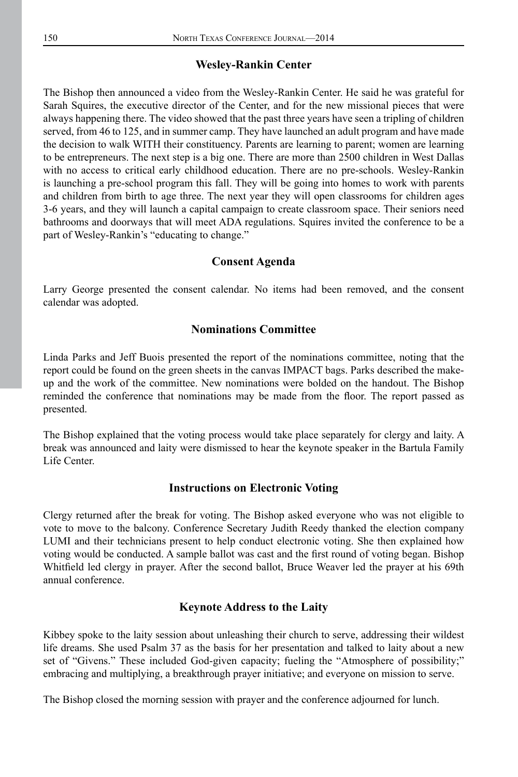#### **Wesley-Rankin Center**

The Bishop then announced a video from the Wesley-Rankin Center. He said he was grateful for Sarah Squires, the executive director of the Center, and for the new missional pieces that were always happening there. The video showed that the past three years have seen a tripling of children served, from 46 to 125, and in summer camp. They have launched an adult program and have made the decision to walk WITH their constituency. Parents are learning to parent; women are learning to be entrepreneurs. The next step is a big one. There are more than 2500 children in West Dallas with no access to critical early childhood education. There are no pre-schools. Wesley-Rankin is launching a pre-school program this fall. They will be going into homes to work with parents and children from birth to age three. The next year they will open classrooms for children ages 3-6 years, and they will launch a capital campaign to create classroom space. Their seniors need bathrooms and doorways that will meet ADA regulations. Squires invited the conference to be a part of Wesley-Rankin's "educating to change."

#### **Consent Agenda**

Larry George presented the consent calendar. No items had been removed, and the consent calendar was adopted.

### **Nominations Committee**

Linda Parks and Jeff Buois presented the report of the nominations committee, noting that the report could be found on the green sheets in the canvas IMPACT bags. Parks described the makeup and the work of the committee. New nominations were bolded on the handout. The Bishop reminded the conference that nominations may be made from the floor. The report passed as presented.

The Bishop explained that the voting process would take place separately for clergy and laity. A break was announced and laity were dismissed to hear the keynote speaker in the Bartula Family Life Center.

#### **Instructions on Electronic Voting**

Clergy returned after the break for voting. The Bishop asked everyone who was not eligible to vote to move to the balcony. Conference Secretary Judith Reedy thanked the election company LUMI and their technicians present to help conduct electronic voting. She then explained how voting would be conducted. A sample ballot was cast and the first round of voting began. Bishop Whitfield led clergy in prayer. After the second ballot, Bruce Weaver led the prayer at his 69th annual conference.

#### **Keynote Address to the Laity**

Kibbey spoke to the laity session about unleashing their church to serve, addressing their wildest life dreams. She used Psalm 37 as the basis for her presentation and talked to laity about a new set of "Givens." These included God-given capacity; fueling the "Atmosphere of possibility;" embracing and multiplying, a breakthrough prayer initiative; and everyone on mission to serve.

The Bishop closed the morning session with prayer and the conference adjourned for lunch.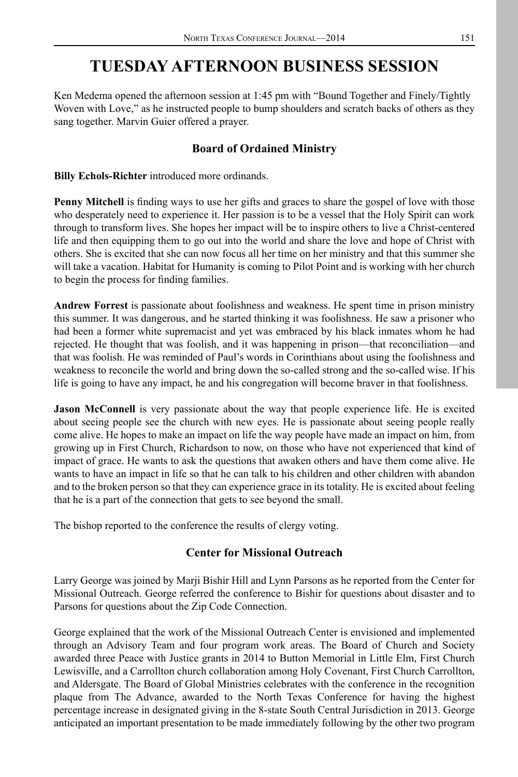# **TUESDAY AFTERNOON BUSINESS SESSION**

Ken Medema opened the afternoon session at 1:45 pm with "Bound Together and Finely/Tightly Woven with Love," as he instructed people to bump shoulders and scratch backs of others as they sang together. Marvin Guier offered a prayer.

# **Board of Ordained Ministry**

**Billy Echols-Richter** introduced more ordinands.

**Penny Mitchell** is finding ways to use her gifts and graces to share the gospel of love with those who desperately need to experience it. Her passion is to be a vessel that the Holy Spirit can work through to transform lives. She hopes her impact will be to inspire others to live a Christ-centered life and then equipping them to go out into the world and share the love and hope of Christ with others. She is excited that she can now focus all her time on her ministry and that this summer she will take a vacation. Habitat for Humanity is coming to Pilot Point and is working with her church to begin the process for finding families.

**Andrew Forrest** is passionate about foolishness and weakness. He spent time in prison ministry this summer. It was dangerous, and he started thinking it was foolishness. He saw a prisoner who had been a former white supremacist and yet was embraced by his black inmates whom he had rejected. He thought that was foolish, and it was happening in prison—that reconciliation—and that was foolish. He was reminded of Paul's words in Corinthians about using the foolishness and weakness to reconcile the world and bring down the so-called strong and the so-called wise. If his life is going to have any impact, he and his congregation will become braver in that foolishness.

**Jason McConnell** is very passionate about the way that people experience life. He is excited about seeing people see the church with new eyes. He is passionate about seeing people really come alive. He hopes to make an impact on life the way people have made an impact on him, from growing up in First Church, Richardson to now, on those who have not experienced that kind of impact of grace. He wants to ask the questions that awaken others and have them come alive. He wants to have an impact in life so that he can talk to his children and other children with abandon and to the broken person so that they can experience grace in its totality. He is excited about feeling that he is a part of the connection that gets to see beyond the small.

The bishop reported to the conference the results of clergy voting.

## **Center for Missional Outreach**

Larry George was joined by Marji Bishir Hill and Lynn Parsons as he reported from the Center for Missional Outreach. George referred the conference to Bishir for questions about disaster and to Parsons for questions about the Zip Code Connection.

George explained that the work of the Missional Outreach Center is envisioned and implemented through an Advisory Team and four program work areas. The Board of Church and Society awarded three Peace with Justice grants in 2014 to Button Memorial in Little Elm, First Church Lewisville, and a Carrollton church collaboration among Holy Covenant, First Church Carrollton, and Aldersgate. The Board of Global Ministries celebrates with the conference in the recognition plaque from The Advance, awarded to the North Texas Conference for having the highest percentage increase in designated giving in the 8-state South Central Jurisdiction in 2013. George anticipated an important presentation to be made immediately following by the other two program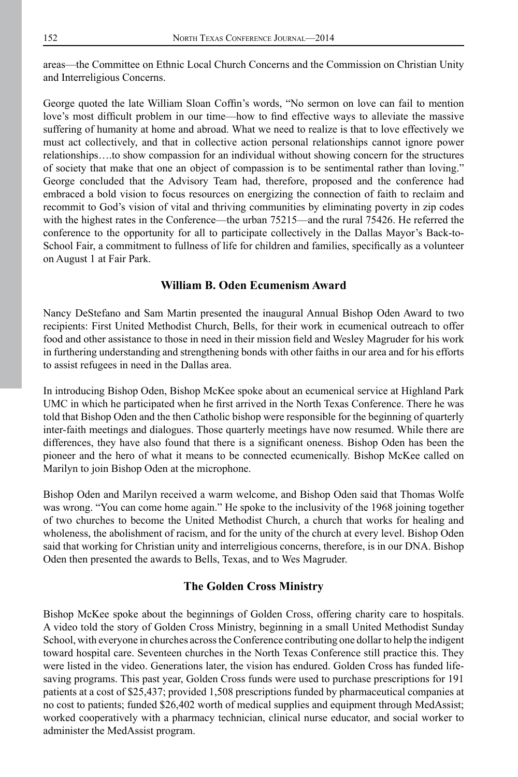areas—the Committee on Ethnic Local Church Concerns and the Commission on Christian Unity and Interreligious Concerns.

George quoted the late William Sloan Coffin's words, "No sermon on love can fail to mention love's most difficult problem in our time—how to find effective ways to alleviate the massive suffering of humanity at home and abroad. What we need to realize is that to love effectively we must act collectively, and that in collective action personal relationships cannot ignore power relationships….to show compassion for an individual without showing concern for the structures of society that make that one an object of compassion is to be sentimental rather than loving." George concluded that the Advisory Team had, therefore, proposed and the conference had embraced a bold vision to focus resources on energizing the connection of faith to reclaim and recommit to God's vision of vital and thriving communities by eliminating poverty in zip codes with the highest rates in the Conference—the urban 75215—and the rural 75426. He referred the conference to the opportunity for all to participate collectively in the Dallas Mayor's Back-to-School Fair, a commitment to fullness of life for children and families, specifically as a volunteer on August 1 at Fair Park.

### **William B. Oden Ecumenism Award**

Nancy DeStefano and Sam Martin presented the inaugural Annual Bishop Oden Award to two recipients: First United Methodist Church, Bells, for their work in ecumenical outreach to offer food and other assistance to those in need in their mission field and Wesley Magruder for his work in furthering understanding and strengthening bonds with other faiths in our area and for his efforts to assist refugees in need in the Dallas area.

In introducing Bishop Oden, Bishop McKee spoke about an ecumenical service at Highland Park UMC in which he participated when he first arrived in the North Texas Conference. There he was told that Bishop Oden and the then Catholic bishop were responsible for the beginning of quarterly inter-faith meetings and dialogues. Those quarterly meetings have now resumed. While there are differences, they have also found that there is a significant oneness. Bishop Oden has been the pioneer and the hero of what it means to be connected ecumenically. Bishop McKee called on Marilyn to join Bishop Oden at the microphone.

Bishop Oden and Marilyn received a warm welcome, and Bishop Oden said that Thomas Wolfe was wrong. "You can come home again." He spoke to the inclusivity of the 1968 joining together of two churches to become the United Methodist Church, a church that works for healing and wholeness, the abolishment of racism, and for the unity of the church at every level. Bishop Oden said that working for Christian unity and interreligious concerns, therefore, is in our DNA. Bishop Oden then presented the awards to Bells, Texas, and to Wes Magruder.

### **The Golden Cross Ministry**

Bishop McKee spoke about the beginnings of Golden Cross, offering charity care to hospitals. A video told the story of Golden Cross Ministry, beginning in a small United Methodist Sunday School, with everyone in churches across the Conference contributing one dollar to help the indigent toward hospital care. Seventeen churches in the North Texas Conference still practice this. They were listed in the video. Generations later, the vision has endured. Golden Cross has funded lifesaving programs. This past year, Golden Cross funds were used to purchase prescriptions for 191 patients at a cost of \$25,437; provided 1,508 prescriptions funded by pharmaceutical companies at no cost to patients; funded \$26,402 worth of medical supplies and equipment through MedAssist; worked cooperatively with a pharmacy technician, clinical nurse educator, and social worker to administer the MedAssist program.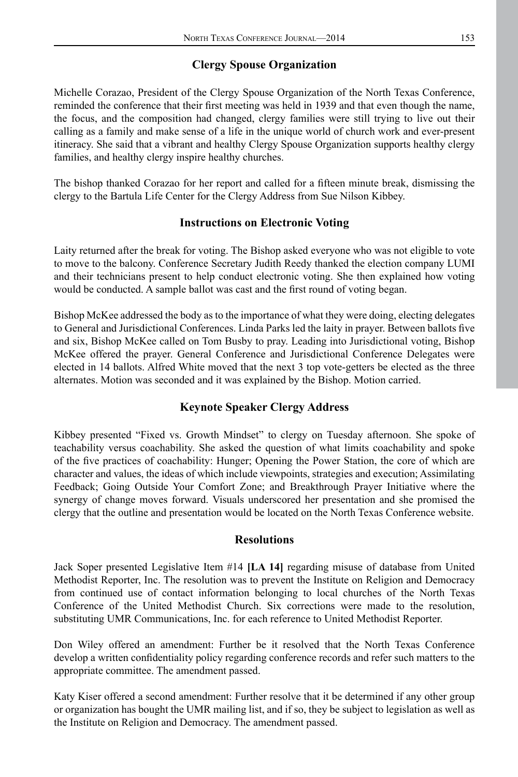## **Clergy Spouse Organization**

Michelle Corazao, President of the Clergy Spouse Organization of the North Texas Conference, reminded the conference that their first meeting was held in 1939 and that even though the name, the focus, and the composition had changed, clergy families were still trying to live out their calling as a family and make sense of a life in the unique world of church work and ever-present itineracy. She said that a vibrant and healthy Clergy Spouse Organization supports healthy clergy families, and healthy clergy inspire healthy churches.

The bishop thanked Corazao for her report and called for a fifteen minute break, dismissing the clergy to the Bartula Life Center for the Clergy Address from Sue Nilson Kibbey.

## **Instructions on Electronic Voting**

Laity returned after the break for voting. The Bishop asked everyone who was not eligible to vote to move to the balcony. Conference Secretary Judith Reedy thanked the election company LUMI and their technicians present to help conduct electronic voting. She then explained how voting would be conducted. A sample ballot was cast and the first round of voting began.

Bishop McKee addressed the body as to the importance of what they were doing, electing delegates to General and Jurisdictional Conferences. Linda Parks led the laity in prayer. Between ballots five and six, Bishop McKee called on Tom Busby to pray. Leading into Jurisdictional voting, Bishop McKee offered the prayer. General Conference and Jurisdictional Conference Delegates were elected in 14 ballots. Alfred White moved that the next 3 top vote-getters be elected as the three alternates. Motion was seconded and it was explained by the Bishop. Motion carried.

## **Keynote Speaker Clergy Address**

Kibbey presented "Fixed vs. Growth Mindset" to clergy on Tuesday afternoon. She spoke of teachability versus coachability. She asked the question of what limits coachability and spoke of the five practices of coachability: Hunger; Opening the Power Station, the core of which are character and values, the ideas of which include viewpoints, strategies and execution; Assimilating Feedback; Going Outside Your Comfort Zone; and Breakthrough Prayer Initiative where the synergy of change moves forward. Visuals underscored her presentation and she promised the clergy that the outline and presentation would be located on the North Texas Conference website.

### **Resolutions**

Jack Soper presented Legislative Item #14 **[LA 14]** regarding misuse of database from United Methodist Reporter, Inc. The resolution was to prevent the Institute on Religion and Democracy from continued use of contact information belonging to local churches of the North Texas Conference of the United Methodist Church. Six corrections were made to the resolution, substituting UMR Communications, Inc. for each reference to United Methodist Reporter.

Don Wiley offered an amendment: Further be it resolved that the North Texas Conference develop a written confidentiality policy regarding conference records and refer such matters to the appropriate committee. The amendment passed.

Katy Kiser offered a second amendment: Further resolve that it be determined if any other group or organization has bought the UMR mailing list, and if so, they be subject to legislation as well as the Institute on Religion and Democracy. The amendment passed.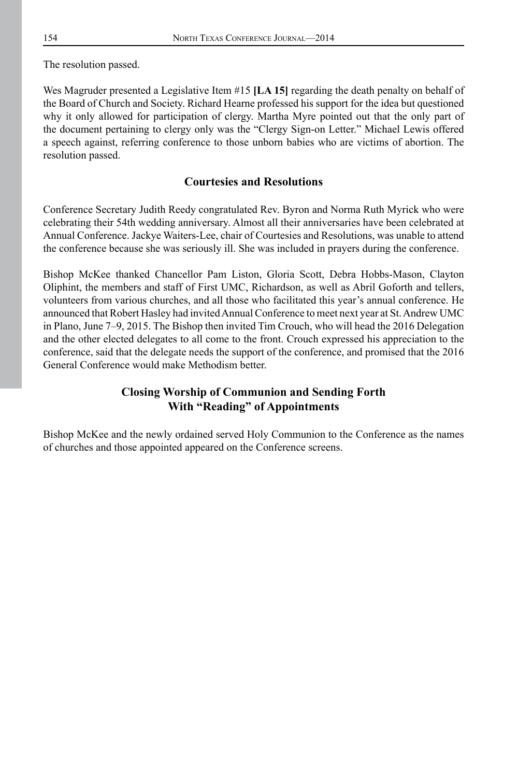The resolution passed.

Wes Magruder presented a Legislative Item #15 **[LA 15]** regarding the death penalty on behalf of the Board of Church and Society. Richard Hearne professed his support for the idea but questioned why it only allowed for participation of clergy. Martha Myre pointed out that the only part of the document pertaining to clergy only was the "Clergy Sign-on Letter." Michael Lewis offered a speech against, referring conference to those unborn babies who are victims of abortion. The resolution passed.

### **Courtesies and Resolutions**

Conference Secretary Judith Reedy congratulated Rev. Byron and Norma Ruth Myrick who were celebrating their 54th wedding anniversary. Almost all their anniversaries have been celebrated at Annual Conference. Jackye Waiters-Lee, chair of Courtesies and Resolutions, was unable to attend the conference because she was seriously ill. She was included in prayers during the conference.

Bishop McKee thanked Chancellor Pam Liston, Gloria Scott, Debra Hobbs-Mason, Clayton Oliphint, the members and staff of First UMC, Richardson, as well as Abril Goforth and tellers, volunteers from various churches, and all those who facilitated this year's annual conference. He announced that Robert Hasley had invited Annual Conference to meet next year at St. Andrew UMC in Plano, June 7–9, 2015. The Bishop then invited Tim Crouch, who will head the 2016 Delegation and the other elected delegates to all come to the front. Crouch expressed his appreciation to the conference, said that the delegate needs the support of the conference, and promised that the 2016 General Conference would make Methodism better.

## **Closing Worship of Communion and Sending Forth With "Reading" of Appointments**

Bishop McKee and the newly ordained served Holy Communion to the Conference as the names of churches and those appointed appeared on the Conference screens.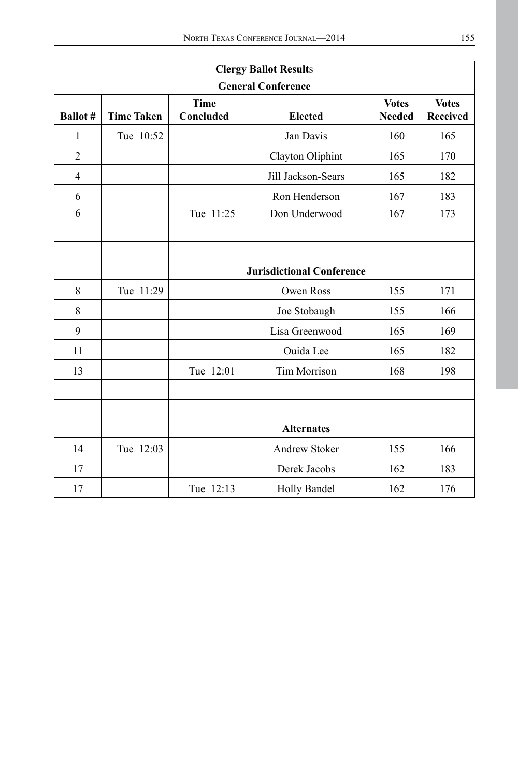| <b>Clergy Ballot Results</b> |                   |                          |                                  |                               |                          |  |  |  |  |
|------------------------------|-------------------|--------------------------|----------------------------------|-------------------------------|--------------------------|--|--|--|--|
| <b>General Conference</b>    |                   |                          |                                  |                               |                          |  |  |  |  |
| <b>Ballot</b> #              | <b>Time Taken</b> | <b>Time</b><br>Concluded | <b>Elected</b>                   | <b>Votes</b><br><b>Needed</b> | <b>Votes</b><br>Received |  |  |  |  |
| $\mathbf{1}$                 | Tue 10:52         |                          | Jan Davis                        | 160                           | 165                      |  |  |  |  |
| $\overline{2}$               |                   |                          | Clayton Oliphint                 | 165                           | 170                      |  |  |  |  |
| $\overline{4}$               |                   |                          | Jill Jackson-Sears               | 165                           | 182                      |  |  |  |  |
| 6                            |                   |                          | Ron Henderson                    | 167                           | 183                      |  |  |  |  |
| 6                            |                   | Tue 11:25                | Don Underwood                    | 167                           | 173                      |  |  |  |  |
|                              |                   |                          |                                  |                               |                          |  |  |  |  |
|                              |                   |                          |                                  |                               |                          |  |  |  |  |
|                              |                   |                          | <b>Jurisdictional Conference</b> |                               |                          |  |  |  |  |
| 8                            | Tue 11:29         |                          | Owen Ross                        | 155                           | 171                      |  |  |  |  |
| $\,$ 8 $\,$                  |                   |                          | Joe Stobaugh                     | 155                           | 166                      |  |  |  |  |
| 9                            |                   |                          | Lisa Greenwood                   | 165                           | 169                      |  |  |  |  |
| 11                           |                   |                          | Ouida Lee                        | 165                           | 182                      |  |  |  |  |
| 13                           |                   | Tue 12:01                | <b>Tim Morrison</b>              | 168                           | 198                      |  |  |  |  |
|                              |                   |                          |                                  |                               |                          |  |  |  |  |
|                              |                   |                          |                                  |                               |                          |  |  |  |  |
|                              |                   |                          | <b>Alternates</b>                |                               |                          |  |  |  |  |
| 14                           | Tue 12:03         |                          | Andrew Stoker                    | 155                           | 166                      |  |  |  |  |
| 17                           |                   |                          | Derek Jacobs                     | 162                           | 183                      |  |  |  |  |
| 17                           |                   | Tue 12:13                | Holly Bandel                     | 162                           | 176                      |  |  |  |  |